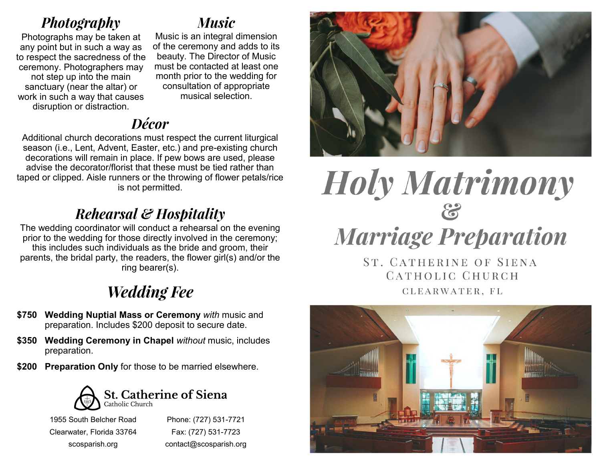## **Photography**

Photographs may be taken at any point but in such a way as to respect the sacredness of the ceremony. Photographers may not step up into the main sanctuary (near the altar) or work in such a way that causes disruption or distraction.

## *Music*

Music is an integral dimension of the ceremony and adds to its beauty. The Director of Music must be contacted at least one month prior to the wedding for consultation of appropriate musical selection.

## **Décor**

Additional church decorations must respect the current liturgical season (i.e., Lent, Advent, Easter, etc.) and pre-existing church decorations will remain in place. If pew bows are used, please advise the decorator/florist that these must be tied rather than taped or clipped. Aisle runners or the throwing of flower petals/rice is not permitted.

# Rehearsal & Hospitality

The wedding coordinator will conduct a rehearsal on the evening prior to the wedding for those directly involved in the ceremony; this includes such individuals as the bride and groom, their parents, the bridal party, the readers, the flower girl(s) and/or the ring bearer(s).

# **Wedding Fee**

- **\$750 Wedding Nuptial Mass or Ceremony** *with* music and preparation. Includes \$200 deposit to secure date.
- **\$350 Wedding Ceremony in Chapel** *without* music, includes preparation.
- **\$200 Preparation Only** for those to be married elsewhere.



1955 South Belcher Road Clearwater, Florida 33764 scosparish.org

Phone: (727) 531-7721 Fax: (727) 531-7723 contact@scosparish.org



# **Holy Matrimony**  $\mathcal{E}$ **Marriage Preparation**

**ST. CATHERINE OF SIENA** CATHOLIC CHURCH CLEARWATER, FL